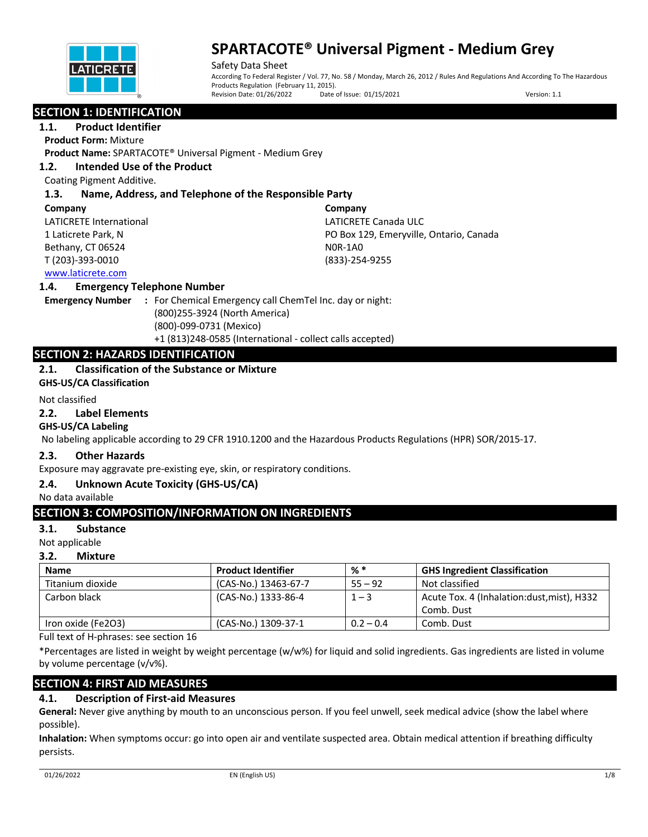

Safety Data Sheet According To Federal Register / Vol. 77, No. 58 / Monday, March 26, 2012 / Rules And Regulations And According To The Hazardous Products Regulation (February 11, 2015).<br>Revision Date: 01/26/2022 Date Date of Issue: 01/15/2021 Version: 1.1

## **SECTION 1: IDENTIFICATION**

## **1.1. Product Identifier**

**Product Form:** Mixture

**Product Name:** SPARTACOTE® Universal Pigment - Medium Grey

## **1.2. Intended Use of the Product**

Coating Pigment Additive.

## **1.3. Name, Address, and Telephone of the Responsible Party**

#### **Company**

LATICRETE International 1 Laticrete Park, N Bethany, CT 06524 T (203)-393-0010

**Company** LATICRETE Canada ULC PO Box 129, Emeryville, Ontario, Canada N0R-1A0 (833)-254-9255

## www.laticrete.com

## **1.4. Emergency Telephone Number**

**Emergency Number :** For Chemical Emergency call ChemTel Inc. day or night: (800)255-3924 (North America) (800)-099-0731 (Mexico) +1 (813)248-0585 (International - collect calls accepted)

## **SECTION 2: HAZARDS IDENTIFICATION**

## **2.1. Classification of the Substance or Mixture**

**GHS-US/CA Classification**

#### Not classified

#### **2.2. Label Elements**

## **GHS-US/CA Labeling**

No labeling applicable according to 29 CFR 1910.1200 and the Hazardous Products Regulations (HPR) SOR/2015-17.

## **2.3. Other Hazards**

Exposure may aggravate pre-existing eye, skin, or respiratory conditions.

## **2.4. Unknown Acute Toxicity (GHS-US/CA)**

No data available

## **SECTION 3: COMPOSITION/INFORMATION ON INGREDIENTS**

## **3.1. Substance**

Not applicable

## **3.2. Mixture**

| <b>Name</b>        | <b>Product Identifier</b> | % *         | <b>GHS Ingredient Classification</b>       |
|--------------------|---------------------------|-------------|--------------------------------------------|
| Titanium dioxide   | (CAS-No.) 13463-67-7      | $55 - 92$   | Not classified                             |
| Carbon black       | (CAS-No.) 1333-86-4       | $1 - 3$     | Acute Tox. 4 (Inhalation:dust, mist), H332 |
|                    |                           |             | Comb. Dust                                 |
| Iron oxide (Fe2O3) | (CAS-No.) 1309-37-1       | $0.2 - 0.4$ | Comb. Dust                                 |

Full text of H-phrases: see section 16

\*Percentages are listed in weight by weight percentage (w/w%) for liquid and solid ingredients. Gas ingredients are listed in volume by volume percentage (v/v%).

## **SECTION 4: FIRST AID MEASURES**

## **4.1. Description of First-aid Measures**

**General:** Never give anything by mouth to an unconscious person. If you feel unwell, seek medical advice (show the label where possible).

**Inhalation:** When symptoms occur: go into open air and ventilate suspected area. Obtain medical attention if breathing difficulty persists.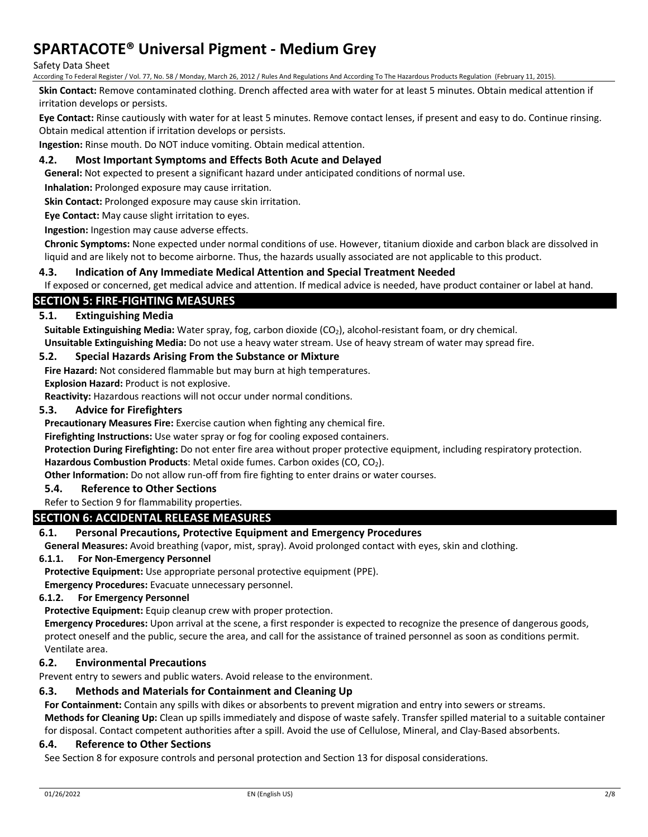#### Safety Data Sheet

According To Federal Register / Vol. 77, No. 58 / Monday, March 26, 2012 / Rules And Regulations And According To The Hazardous Products Regulation (February 11, 2015).

**Skin Contact:** Remove contaminated clothing. Drench affected area with water for at least 5 minutes. Obtain medical attention if irritation develops or persists.

**Eye Contact:** Rinse cautiously with water for at least 5 minutes. Remove contact lenses, if present and easy to do. Continue rinsing. Obtain medical attention if irritation develops or persists.

**Ingestion:** Rinse mouth. Do NOT induce vomiting. Obtain medical attention.

## **4.2. Most Important Symptoms and Effects Both Acute and Delayed**

**General:** Not expected to present a significant hazard under anticipated conditions of normal use.

**Inhalation:** Prolonged exposure may cause irritation.

**Skin Contact:** Prolonged exposure may cause skin irritation.

**Eye Contact:** May cause slight irritation to eyes.

**Ingestion:** Ingestion may cause adverse effects.

**Chronic Symptoms:** None expected under normal conditions of use. However, titanium dioxide and carbon black are dissolved in liquid and are likely not to become airborne. Thus, the hazards usually associated are not applicable to this product.

## **4.3. Indication of Any Immediate Medical Attention and Special Treatment Needed**

If exposed or concerned, get medical advice and attention. If medical advice is needed, have product container or label at hand.

## **SECTION 5: FIRE-FIGHTING MEASURES**

## **5.1. Extinguishing Media**

Suitable Extinguishing Media: Water spray, fog, carbon dioxide (CO<sub>2</sub>), alcohol-resistant foam, or dry chemical. **Unsuitable Extinguishing Media:** Do not use a heavy water stream. Use of heavy stream of water may spread fire.

#### **5.2. Special Hazards Arising From the Substance or Mixture**

**Fire Hazard:** Not considered flammable but may burn at high temperatures.

**Explosion Hazard:** Product is not explosive.

**Reactivity:** Hazardous reactions will not occur under normal conditions.

#### **5.3. Advice for Firefighters**

**Precautionary Measures Fire:** Exercise caution when fighting any chemical fire.

**Firefighting Instructions:** Use water spray or fog for cooling exposed containers.

**Protection During Firefighting:** Do not enter fire area without proper protective equipment, including respiratory protection.

Hazardous Combustion Products: Metal oxide fumes. Carbon oxides (CO, CO<sub>2</sub>).

**Other Information:** Do not allow run-off from fire fighting to enter drains or water courses.

## **5.4. Reference to Other Sections**

#### Refer to Section 9 for flammability properties.

## **SECTION 6: ACCIDENTAL RELEASE MEASURES**

## **6.1. Personal Precautions, Protective Equipment and Emergency Procedures**

**General Measures:** Avoid breathing (vapor, mist, spray). Avoid prolonged contact with eyes, skin and clothing.

#### **6.1.1. For Non-Emergency Personnel**

**Protective Equipment:** Use appropriate personal protective equipment (PPE).

**Emergency Procedures:** Evacuate unnecessary personnel.

#### **6.1.2. For Emergency Personnel**

**Protective Equipment:** Equip cleanup crew with proper protection.

**Emergency Procedures:** Upon arrival at the scene, a first responder is expected to recognize the presence of dangerous goods, protect oneself and the public, secure the area, and call for the assistance of trained personnel as soon as conditions permit. Ventilate area.

## **6.2. Environmental Precautions**

Prevent entry to sewers and public waters. Avoid release to the environment.

## **6.3. Methods and Materials for Containment and Cleaning Up**

**For Containment:** Contain any spills with dikes or absorbents to prevent migration and entry into sewers or streams.

**Methods for Cleaning Up:** Clean up spills immediately and dispose of waste safely. Transfer spilled material to a suitable container for disposal. Contact competent authorities after a spill. Avoid the use of Cellulose, Mineral, and Clay-Based absorbents.

#### **6.4. Reference to Other Sections**

See Section 8 for exposure controls and personal protection and Section 13 for disposal considerations.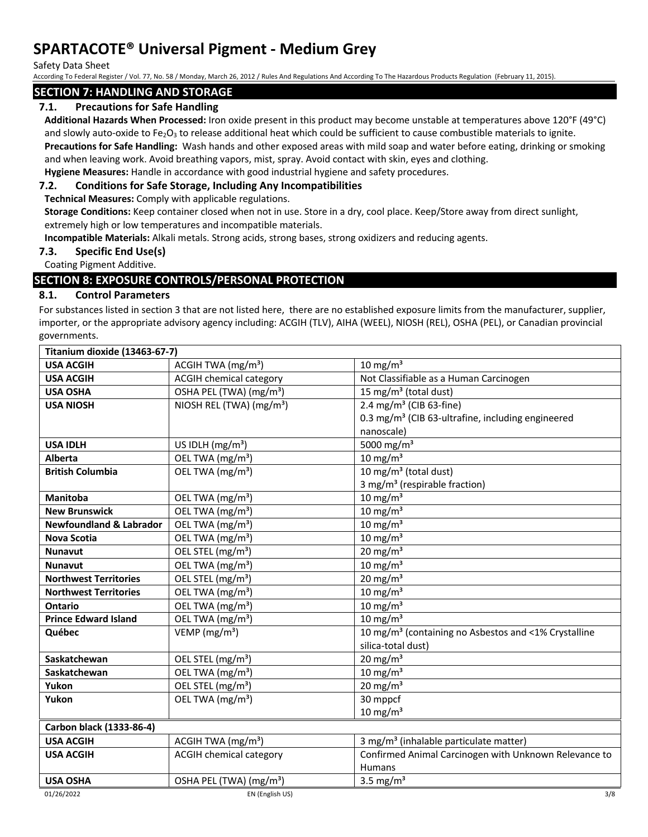Safety Data Sheet

According To Federal Register / Vol. 77, No. 58 / Monday, March 26, 2012 / Rules And Regulations And According To The Hazardous Products Regulation (February 11, 2015).

## **SECTION 7: HANDLING AND STORAGE**

## **7.1. Precautions for Safe Handling**

**Additional Hazards When Processed:** Iron oxide present in this product may become unstable at temperatures above 120°F (49°C) and slowly auto-oxide to Fe<sub>2</sub>O<sub>3</sub> to release additional heat which could be sufficient to cause combustible materials to ignite.

**Precautions for Safe Handling:** Wash hands and other exposed areas with mild soap and water before eating, drinking or smoking and when leaving work. Avoid breathing vapors, mist, spray. Avoid contact with skin, eyes and clothing.

## **Hygiene Measures:** Handle in accordance with good industrial hygiene and safety procedures. **7.2. Conditions for Safe Storage, Including Any Incompatibilities**

**Technical Measures:** Comply with applicable regulations.

**Storage Conditions:** Keep container closed when not in use. Store in a dry, cool place. Keep/Store away from direct sunlight, extremely high or low temperatures and incompatible materials.

**Incompatible Materials:** Alkali metals. Strong acids, strong bases, strong oxidizers and reducing agents.

## **7.3. Specific End Use(s)**

Coating Pigment Additive.

## **SECTION 8: EXPOSURE CONTROLS/PERSONAL PROTECTION**

## **8.1. Control Parameters**

For substances listed in section 3 that are not listed here, there are no established exposure limits from the manufacturer, supplier, importer, or the appropriate advisory agency including: ACGIH (TLV), AIHA (WEEL), NIOSH (REL), OSHA (PEL), or Canadian provincial governments.

| Titanium dioxide (13463-67-7)      |                                      |                                                                  |  |
|------------------------------------|--------------------------------------|------------------------------------------------------------------|--|
| <b>USA ACGIH</b>                   | ACGIH TWA $(mg/m3)$                  | $10 \text{ mg/m}^3$                                              |  |
| <b>USA ACGIH</b>                   | <b>ACGIH chemical category</b>       | Not Classifiable as a Human Carcinogen                           |  |
| <b>USA OSHA</b>                    | OSHA PEL (TWA) (mg/m <sup>3</sup> )  | 15 mg/m <sup>3</sup> (total dust)                                |  |
| <b>USA NIOSH</b>                   | NIOSH REL (TWA) (mg/m <sup>3</sup> ) | 2.4 mg/m <sup>3</sup> (CIB 63-fine)                              |  |
|                                    |                                      | 0.3 mg/m <sup>3</sup> (CIB 63-ultrafine, including engineered    |  |
|                                    |                                      | nanoscale)                                                       |  |
| <b>USA IDLH</b>                    | US IDLH $(mg/m3)$                    | 5000 mg/m <sup>3</sup>                                           |  |
| <b>Alberta</b>                     | OEL TWA (mg/m <sup>3</sup> )         | $10 \text{ mg/m}^3$                                              |  |
| <b>British Columbia</b>            | OEL TWA (mg/m <sup>3</sup> )         | 10 mg/m $3$ (total dust)                                         |  |
|                                    |                                      | 3 mg/m <sup>3</sup> (respirable fraction)                        |  |
| <b>Manitoba</b>                    | OEL TWA (mg/m <sup>3</sup> )         | $10 \text{ mg/m}^3$                                              |  |
| <b>New Brunswick</b>               | OEL TWA (mg/m <sup>3</sup> )         | $10 \text{ mg/m}^3$                                              |  |
| <b>Newfoundland &amp; Labrador</b> | OEL TWA (mg/m <sup>3</sup> )         | 10 mg/m $3$                                                      |  |
| <b>Nova Scotia</b>                 | OEL TWA (mg/m <sup>3</sup> )         | 10 mg/m $3$                                                      |  |
| <b>Nunavut</b>                     | OEL STEL (mg/m <sup>3</sup> )        | 20 mg/m $3$                                                      |  |
| <b>Nunavut</b>                     | OEL TWA (mg/m <sup>3</sup> )         | $10 \text{ mg/m}^3$                                              |  |
| <b>Northwest Territories</b>       | OEL STEL (mg/m <sup>3</sup> )        | 20 mg/m $3$                                                      |  |
| <b>Northwest Territories</b>       | OEL TWA (mg/m <sup>3</sup> )         | $10 \text{ mg/m}^3$                                              |  |
| Ontario                            | OEL TWA (mg/m <sup>3</sup> )         | 10 mg/m $3$                                                      |  |
| <b>Prince Edward Island</b>        | OEL TWA (mg/m <sup>3</sup> )         | 10 mg/ $m3$                                                      |  |
| Québec                             | VEMP ( $mg/m3$ )                     | 10 mg/m <sup>3</sup> (containing no Asbestos and <1% Crystalline |  |
|                                    |                                      | silica-total dust)                                               |  |
| Saskatchewan                       | OEL STEL (mg/m <sup>3</sup> )        | $20 \text{ mg/m}^3$                                              |  |
| Saskatchewan                       | OEL TWA (mg/m <sup>3</sup> )         | 10 mg/m $3$                                                      |  |
| Yukon                              | OEL STEL (mg/m <sup>3</sup> )        | 20 mg/m $3$                                                      |  |
| Yukon                              | OEL TWA (mg/m <sup>3</sup> )         | 30 mppcf                                                         |  |
|                                    |                                      | $10 \text{ mg/m}^3$                                              |  |
| Carbon black (1333-86-4)           |                                      |                                                                  |  |
| <b>USA ACGIH</b>                   | ACGIH TWA $(mg/m3)$                  | 3 mg/m <sup>3</sup> (inhalable particulate matter)               |  |
| <b>USA ACGIH</b>                   | <b>ACGIH chemical category</b>       | Confirmed Animal Carcinogen with Unknown Relevance to            |  |
|                                    |                                      | <b>Humans</b>                                                    |  |
| <b>USA OSHA</b>                    | OSHA PEL (TWA) (mg/m <sup>3</sup> )  | 3.5 mg/ $m3$                                                     |  |
| 01/26/2022                         | EN (English US)                      | 3/8                                                              |  |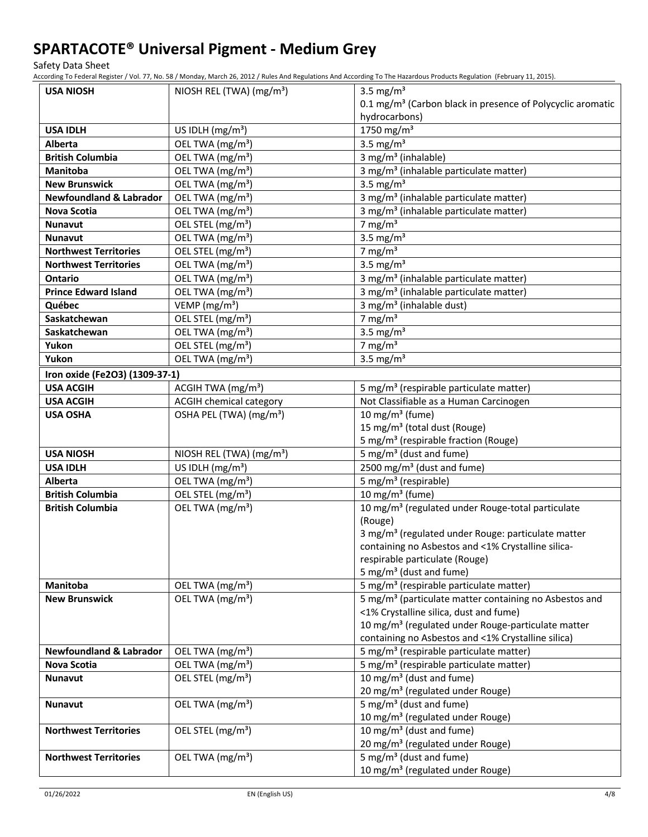Safety Data Sheet

According To Federal Register / Vol. 77, No. 58 / Monday, March 26, 2012 / Rules And Regulations And According To The Hazardous Products Regulation (February 11, 2015).

| <b>USA NIOSH</b>                   | NIOSH REL (TWA) (mg/m <sup>3</sup> ) | 3.5 mg/ $m3$                                                                         |  |
|------------------------------------|--------------------------------------|--------------------------------------------------------------------------------------|--|
|                                    |                                      | 0.1 mg/m <sup>3</sup> (Carbon black in presence of Polycyclic aromatic               |  |
|                                    |                                      | hydrocarbons)                                                                        |  |
| <b>USA IDLH</b>                    | US IDLH $(mg/m3)$                    | 1750 mg/m <sup>3</sup>                                                               |  |
| <b>Alberta</b>                     | OEL TWA (mg/m <sup>3</sup> )         | 3.5 mg/ $m3$                                                                         |  |
| <b>British Columbia</b>            | OEL TWA (mg/m <sup>3</sup> )         | 3 mg/m <sup>3</sup> (inhalable)                                                      |  |
| Manitoba                           | OEL TWA (mg/m <sup>3</sup> )         | 3 mg/m <sup>3</sup> (inhalable particulate matter)                                   |  |
| <b>New Brunswick</b>               | OEL TWA (mg/m <sup>3</sup> )         | 3.5 mg/ $m3$                                                                         |  |
| <b>Newfoundland &amp; Labrador</b> | OEL TWA (mg/m <sup>3</sup> )         | 3 mg/m <sup>3</sup> (inhalable particulate matter)                                   |  |
| <b>Nova Scotia</b>                 | OEL TWA (mg/m <sup>3</sup> )         | 3 mg/m <sup>3</sup> (inhalable particulate matter)                                   |  |
| <b>Nunavut</b>                     | OEL STEL (mg/m <sup>3</sup> )        | 7 mg/m $3$                                                                           |  |
| <b>Nunavut</b>                     | OEL TWA (mg/m <sup>3</sup> )         | 3.5 mg/ $m3$                                                                         |  |
| <b>Northwest Territories</b>       | OEL STEL (mg/m <sup>3</sup> )        | 7 mg/m $3$                                                                           |  |
| <b>Northwest Territories</b>       | OEL TWA (mg/m <sup>3</sup> )         | 3.5 mg/ $m3$                                                                         |  |
| <b>Ontario</b>                     | OEL TWA (mg/m <sup>3</sup> )         | 3 mg/m <sup>3</sup> (inhalable particulate matter)                                   |  |
| <b>Prince Edward Island</b>        | OEL TWA (mg/m <sup>3</sup> )         | 3 mg/m <sup>3</sup> (inhalable particulate matter)                                   |  |
| Québec                             | VEMP ( $mg/m3$ )                     | 3 mg/m <sup>3</sup> (inhalable dust)                                                 |  |
| Saskatchewan                       | OEL STEL (mg/m <sup>3</sup> )        | 7 mg/m $3$                                                                           |  |
| Saskatchewan                       | OEL TWA (mg/m <sup>3</sup> )         | 3.5 mg/ $m3$                                                                         |  |
| Yukon                              | OEL STEL (mg/m <sup>3</sup> )        | 7 mg/m $3$                                                                           |  |
| Yukon                              | OEL TWA (mg/m <sup>3</sup> )         | 3.5 mg/ $m3$                                                                         |  |
| Iron oxide (Fe2O3) (1309-37-1)     |                                      |                                                                                      |  |
| <b>USA ACGIH</b>                   | ACGIH TWA (mg/m <sup>3</sup> )       | 5 mg/m <sup>3</sup> (respirable particulate matter)                                  |  |
| <b>USA ACGIH</b>                   | <b>ACGIH chemical category</b>       | Not Classifiable as a Human Carcinogen                                               |  |
| <b>USA OSHA</b>                    | OSHA PEL (TWA) (mg/m <sup>3</sup> )  | 10 mg/m <sup>3</sup> (fume)                                                          |  |
|                                    |                                      | 15 mg/m <sup>3</sup> (total dust (Rouge)                                             |  |
|                                    |                                      | 5 mg/m <sup>3</sup> (respirable fraction (Rouge)                                     |  |
| <b>USA NIOSH</b>                   | NIOSH REL (TWA) (mg/m <sup>3</sup> ) | 5 mg/m <sup>3</sup> (dust and fume)                                                  |  |
| <b>USA IDLH</b>                    | US IDLH (mg/m <sup>3</sup> )         | 2500 mg/m <sup>3</sup> (dust and fume)                                               |  |
| Alberta                            | OEL TWA (mg/m <sup>3</sup> )         | 5 mg/m <sup>3</sup> (respirable)                                                     |  |
| <b>British Columbia</b>            | OEL STEL (mg/m <sup>3</sup> )        | 10 mg/m $3$ (fume)                                                                   |  |
| <b>British Columbia</b>            | OEL TWA (mg/m <sup>3</sup> )         | 10 mg/m <sup>3</sup> (regulated under Rouge-total particulate                        |  |
|                                    |                                      | (Rouge)                                                                              |  |
|                                    |                                      | 3 mg/m <sup>3</sup> (regulated under Rouge: particulate matter                       |  |
|                                    |                                      | containing no Asbestos and <1% Crystalline silica-                                   |  |
|                                    |                                      | respirable particulate (Rouge)                                                       |  |
|                                    |                                      | 5 mg/m <sup>3</sup> (dust and fume)                                                  |  |
| Manitoba                           | OEL TWA (mg/m <sup>3</sup> )         | 5 mg/m <sup>3</sup> (respirable particulate matter)                                  |  |
| <b>New Brunswick</b>               | OEL TWA (mg/m <sup>3</sup> )         | 5 mg/m <sup>3</sup> (particulate matter containing no Asbestos and                   |  |
|                                    |                                      | <1% Crystalline silica, dust and fume)                                               |  |
|                                    |                                      | 10 mg/m <sup>3</sup> (regulated under Rouge-particulate matter                       |  |
|                                    |                                      | containing no Asbestos and <1% Crystalline silica)                                   |  |
| <b>Newfoundland &amp; Labrador</b> | OEL TWA (mg/m <sup>3</sup> )         | 5 mg/m <sup>3</sup> (respirable particulate matter)                                  |  |
| Nova Scotia                        | OEL TWA (mg/m <sup>3</sup> )         | 5 mg/m <sup>3</sup> (respirable particulate matter)                                  |  |
| Nunavut                            | OEL STEL (mg/m <sup>3</sup> )        | 10 mg/m <sup>3</sup> (dust and fume)<br>20 mg/m <sup>3</sup> (regulated under Rouge) |  |
|                                    | OEL TWA (mg/m <sup>3</sup> )         | 5 mg/m <sup>3</sup> (dust and fume)                                                  |  |
| Nunavut                            |                                      | 10 mg/m <sup>3</sup> (regulated under Rouge)                                         |  |
| <b>Northwest Territories</b>       | OEL STEL (mg/m <sup>3</sup> )        | 10 mg/m <sup>3</sup> (dust and fume)                                                 |  |
|                                    |                                      | 20 mg/m <sup>3</sup> (regulated under Rouge)                                         |  |
| <b>Northwest Territories</b>       | OEL TWA (mg/m <sup>3</sup> )         | 5 mg/m <sup>3</sup> (dust and fume)                                                  |  |
|                                    |                                      |                                                                                      |  |
|                                    |                                      | 10 mg/m <sup>3</sup> (regulated under Rouge)                                         |  |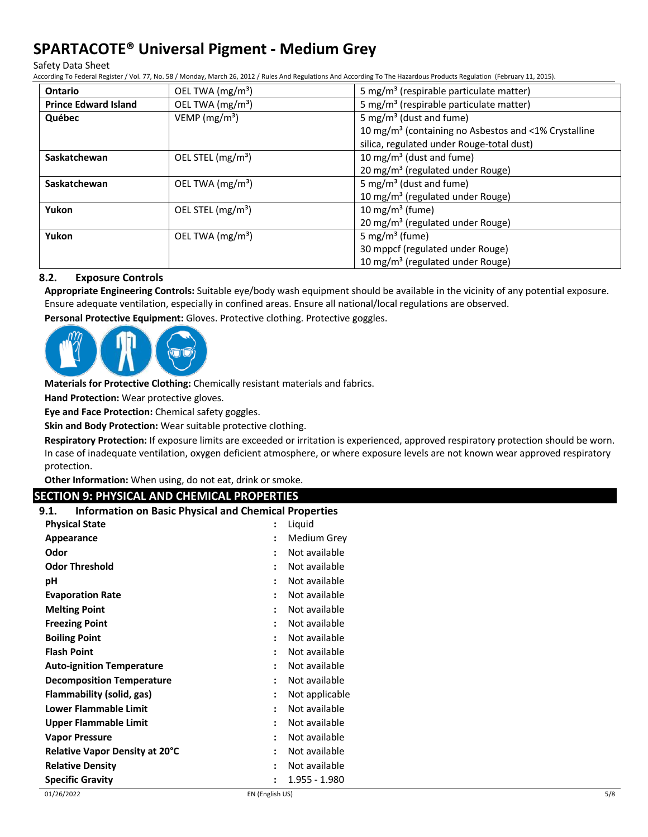Safety Data Sheet

According To Federal Register / Vol. 77, No. 58 / Monday, March 26, 2012 / Rules And Regulations And According To The Hazardous Products Regulation (February 11, 2015).

| <b>Ontario</b>              | OEL TWA (mg/m <sup>3</sup> ) | 5 mg/m <sup>3</sup> (respirable particulate matter)              |
|-----------------------------|------------------------------|------------------------------------------------------------------|
| <b>Prince Edward Island</b> | OEL TWA (mg/m <sup>3</sup> ) | 5 mg/m <sup>3</sup> (respirable particulate matter)              |
| Québec                      | VEMP ( $mg/m3$ )             | 5 mg/m <sup>3</sup> (dust and fume)                              |
|                             |                              | 10 mg/m <sup>3</sup> (containing no Asbestos and <1% Crystalline |
|                             |                              | silica, regulated under Rouge-total dust)                        |
| Saskatchewan                | OEL STEL $(mg/m3)$           | 10 mg/m <sup>3</sup> (dust and fume)                             |
|                             |                              | 20 mg/m <sup>3</sup> (regulated under Rouge)                     |
| Saskatchewan                | OEL TWA $(mg/m3)$            | 5 mg/m <sup>3</sup> (dust and fume)                              |
|                             |                              | 10 mg/m <sup>3</sup> (regulated under Rouge)                     |
| Yukon                       | OEL STEL $(mg/m3)$           | 10 mg/m <sup>3</sup> (fume)                                      |
|                             |                              | 20 mg/m <sup>3</sup> (regulated under Rouge)                     |
| Yukon                       | OEL TWA $(mg/m3)$            | 5 mg/m <sup>3</sup> (fume)                                       |
|                             |                              | 30 mppcf (regulated under Rouge)                                 |
|                             |                              | 10 mg/m <sup>3</sup> (regulated under Rouge)                     |

## **8.2. Exposure Controls**

**Appropriate Engineering Controls:** Suitable eye/body wash equipment should be available in the vicinity of any potential exposure. Ensure adequate ventilation, especially in confined areas. Ensure all national/local regulations are observed.

**Personal Protective Equipment:** Gloves. Protective clothing. Protective goggles.



**Materials for Protective Clothing:** Chemically resistant materials and fabrics.

**Hand Protection:** Wear protective gloves.

**Eye and Face Protection:** Chemical safety goggles.

**Skin and Body Protection:** Wear suitable protective clothing.

**Respiratory Protection:** If exposure limits are exceeded or irritation is experienced, approved respiratory protection should be worn. In case of inadequate ventilation, oxygen deficient atmosphere, or where exposure levels are not known wear approved respiratory protection.

**Other Information:** When using, do not eat, drink or smoke.

## **SECTION 9: PHYSICAL AND CHEMICAL PROPERTIES**

| <b>Information on Basic Physical and Chemical Properties</b><br>9.1. |                |                |
|----------------------------------------------------------------------|----------------|----------------|
| <b>Physical State</b>                                                |                | Liquid         |
| Appearance                                                           | $\ddot{\cdot}$ | Medium Grey    |
| Odor                                                                 | :              | Not available  |
| <b>Odor Threshold</b>                                                |                | Not available  |
| рH                                                                   |                | Not available  |
| <b>Evaporation Rate</b>                                              |                | Not available  |
| <b>Melting Point</b>                                                 | $\ddot{\cdot}$ | Not available  |
| <b>Freezing Point</b>                                                |                | Not available  |
| <b>Boiling Point</b>                                                 |                | Not available  |
| <b>Flash Point</b>                                                   |                | Not available  |
| <b>Auto-ignition Temperature</b>                                     | $\cdot$        | Not available  |
| <b>Decomposition Temperature</b>                                     | $\ddot{\cdot}$ | Not available  |
| Flammability (solid, gas)                                            |                | Not applicable |
| Lower Flammable Limit                                                |                | Not available  |
| <b>Upper Flammable Limit</b>                                         |                | Not available  |
| <b>Vapor Pressure</b>                                                | $\ddot{\cdot}$ | Not available  |
| Relative Vapor Density at 20°C                                       | $\ddot{\cdot}$ | Not available  |
| <b>Relative Density</b>                                              |                | Not available  |
| <b>Specific Gravity</b>                                              |                | 1.955 - 1.980  |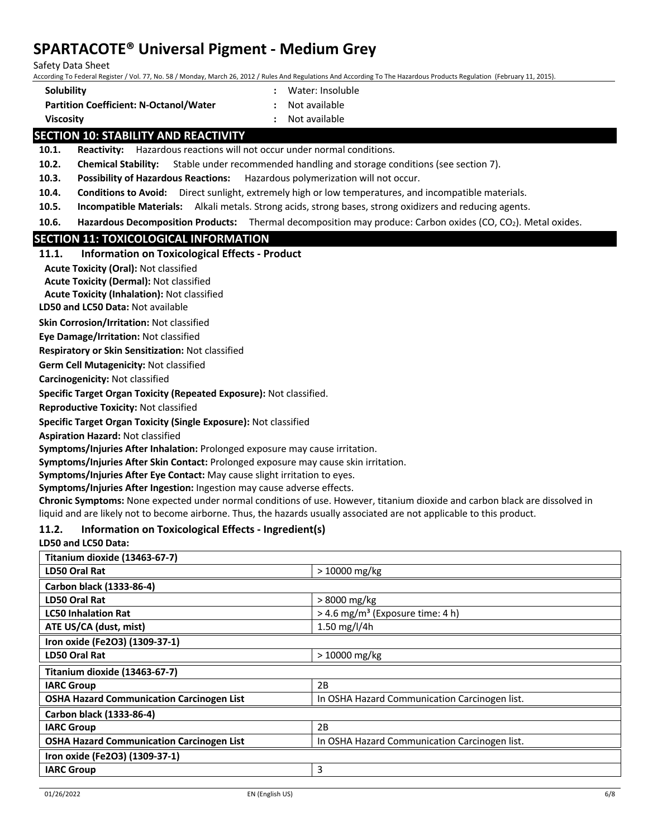Safety Data Sheet

According To Federal Register / Vol. 77, No. 58 / Monday, March 26, 2012 / Rules And Regulations And According To The Hazardous Products Regulation (February 11, 2015).

- **Solubility :** Water: Insoluble
- **Partition Coefficient: N-Octanol/Water :** Not available
- 
- **Viscosity :** Not available

## **SECTION 10: STABILITY AND REACTIVITY**

**10.1. Reactivity:** Hazardous reactions will not occur under normal conditions.

**10.2. Chemical Stability:** Stable under recommended handling and storage conditions (see section 7).

**10.3. Possibility of Hazardous Reactions:** Hazardous polymerization will not occur.

**10.4. Conditions to Avoid:** Direct sunlight, extremely high or low temperatures, and incompatible materials.

**10.5. Incompatible Materials:** Alkali metals. Strong acids, strong bases, strong oxidizers and reducing agents.

**10.6. Hazardous Decomposition Products:** Thermal decomposition may produce: Carbon oxides (CO, CO<sub>2</sub>). Metal oxides.

## **SECTION 11: TOXICOLOGICAL INFORMATION**

## **11.1. Information on Toxicological Effects - Product**

**Acute Toxicity (Oral):** Not classified

**Acute Toxicity (Dermal):** Not classified

**Acute Toxicity (Inhalation):** Not classified

**LD50 and LC50 Data:** Not available

**Skin Corrosion/Irritation:** Not classified

**Eye Damage/Irritation:** Not classified

**Respiratory or Skin Sensitization:** Not classified

**Germ Cell Mutagenicity:** Not classified

**Carcinogenicity:** Not classified

**Specific Target Organ Toxicity (Repeated Exposure):** Not classified.

**Reproductive Toxicity:** Not classified

**Specific Target Organ Toxicity (Single Exposure):** Not classified

**Aspiration Hazard:** Not classified

**Symptoms/Injuries After Inhalation:** Prolonged exposure may cause irritation.

**Symptoms/Injuries After Skin Contact:** Prolonged exposure may cause skin irritation.

**Symptoms/Injuries After Eye Contact:** May cause slight irritation to eyes.

**Symptoms/Injuries After Ingestion:** Ingestion may cause adverse effects.

**Chronic Symptoms:** None expected under normal conditions of use. However, titanium dioxide and carbon black are dissolved in liquid and are likely not to become airborne. Thus, the hazards usually associated are not applicable to this product.

## **11.2. Information on Toxicological Effects - Ingredient(s)**

## **LD50 and LC50 Data:**

| $>10000$ mg/kg<br>LD50 Oral Rat                                                                   |  |
|---------------------------------------------------------------------------------------------------|--|
|                                                                                                   |  |
| Carbon black (1333-86-4)                                                                          |  |
| > 8000 mg/kg<br>LD50 Oral Rat                                                                     |  |
| $>$ 4.6 mg/m <sup>3</sup> (Exposure time: 4 h)<br><b>LC50 Inhalation Rat</b>                      |  |
| ATE US/CA (dust, mist)<br>1.50 mg/l/4h                                                            |  |
| Iron oxide (Fe2O3) (1309-37-1)                                                                    |  |
| $>10000$ mg/kg<br><b>LD50 Oral Rat</b>                                                            |  |
| Titanium dioxide (13463-67-7)                                                                     |  |
| 2B<br><b>IARC Group</b>                                                                           |  |
| <b>OSHA Hazard Communication Carcinogen List</b><br>In OSHA Hazard Communication Carcinogen list. |  |
| Carbon black (1333-86-4)                                                                          |  |
| 2B<br><b>IARC Group</b>                                                                           |  |
| <b>OSHA Hazard Communication Carcinogen List</b><br>In OSHA Hazard Communication Carcinogen list. |  |
| Iron oxide (Fe2O3) (1309-37-1)                                                                    |  |
| 3<br><b>IARC Group</b>                                                                            |  |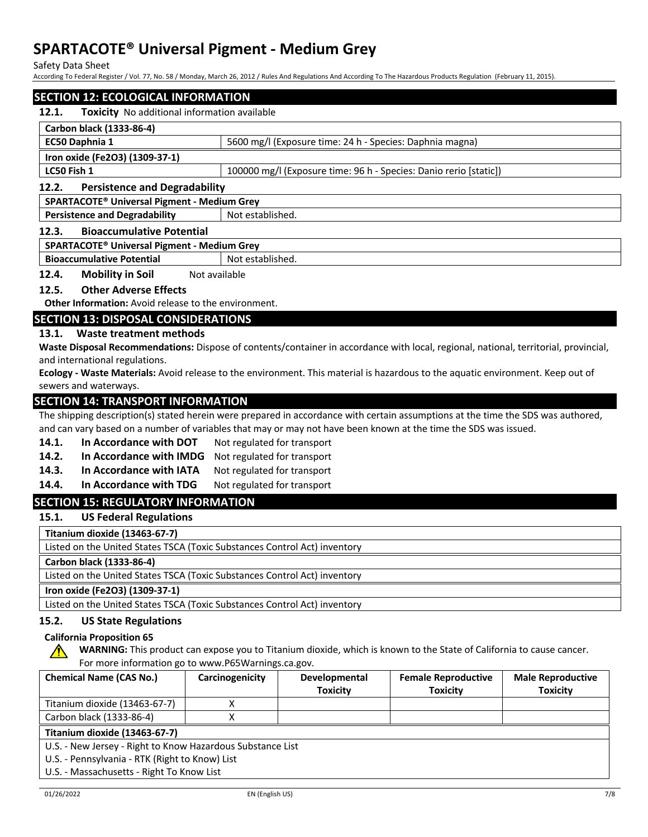Safety Data Sheet

According To Federal Register / Vol. 77, No. 58 / Monday, March 26, 2012 / Rules And Regulations And According To The Hazardous Products Regulation (February 11, 2015).

## **SECTION 12: ECOLOGICAL INFORMATION**

## **12.1. Toxicity** No additional information available

| Carbon black (1333-86-4)                                |                                                                   |  |  |
|---------------------------------------------------------|-------------------------------------------------------------------|--|--|
| EC50 Daphnia 1                                          | 5600 mg/l (Exposure time: 24 h - Species: Daphnia magna)          |  |  |
| Iron oxide (Fe2O3) (1309-37-1)                          |                                                                   |  |  |
| LC50 Fish 1                                             | 100000 mg/l (Exposure time: 96 h - Species: Danio rerio [static]) |  |  |
| <b>Persistence and Degradability</b><br>12.2.           |                                                                   |  |  |
| SPARTACOTE <sup>®</sup> Universal Pigment - Medium Grey |                                                                   |  |  |
| <b>Persistence and Degradability</b>                    | Not established.                                                  |  |  |

#### **12.3. Bioaccumulative Potential**

#### **SPARTACOTE® Universal Pigment - Medium Grey**

**Bioaccumulative Potential** Not established.

**12.4. Mobility in Soil** Not available

#### **12.5. Other Adverse Effects**

**Other Information:** Avoid release to the environment.

## **SECTION 13: DISPOSAL CONSIDERATIONS**

## **13.1. Waste treatment methods**

**Waste Disposal Recommendations:** Dispose of contents/container in accordance with local, regional, national, territorial, provincial, and international regulations.

**Ecology - Waste Materials:** Avoid release to the environment. This material is hazardous to the aquatic environment. Keep out of sewers and waterways.

## **SECTION 14: TRANSPORT INFORMATION**

The shipping description(s) stated herein were prepared in accordance with certain assumptions at the time the SDS was authored, and can vary based on a number of variables that may or may not have been known at the time the SDS was issued.

- 14.1. In Accordance with DOT Not regulated for transport
- **14.2. In Accordance with IMDG** Not regulated for transport
- 14.3. In Accordance with IATA Not regulated for transport
- 14.4. In Accordance with TDG Not regulated for transport

## **SECTION 15: REGULATORY INFORMATION**

**15.1. US Federal Regulations**

**Titanium dioxide (13463-67-7)**

Listed on the United States TSCA (Toxic Substances Control Act) inventory

**Carbon black (1333-86-4)**

Listed on the United States TSCA (Toxic Substances Control Act) inventory

## **Iron oxide (Fe2O3) (1309-37-1)**

Listed on the United States TSCA (Toxic Substances Control Act) inventory

## **15.2. US State Regulations**

#### **California Proposition 65**

**WARNING:** This product can expose you to Titanium dioxide, which is known to the State of California to cause cancer. For more information go to www.P65Warnings.ca.gov.

| <b>Chemical Name (CAS No.)</b>                             | Carcinogenicity | <b>Developmental</b> | <b>Female Reproductive</b> | <b>Male Reproductive</b> |
|------------------------------------------------------------|-----------------|----------------------|----------------------------|--------------------------|
|                                                            |                 | <b>Toxicity</b>      | <b>Toxicity</b>            | <b>Toxicity</b>          |
| Titanium dioxide (13463-67-7)                              |                 |                      |                            |                          |
| Carbon black (1333-86-4)                                   |                 |                      |                            |                          |
| Titanium dioxide (13463-67-7)                              |                 |                      |                            |                          |
| U.S. - New Jersey - Right to Know Hazardous Substance List |                 |                      |                            |                          |
| U.S. - Pennsylvania - RTK (Right to Know) List             |                 |                      |                            |                          |
| U.S. - Massachusetts - Right To Know List                  |                 |                      |                            |                          |

∕Ւ